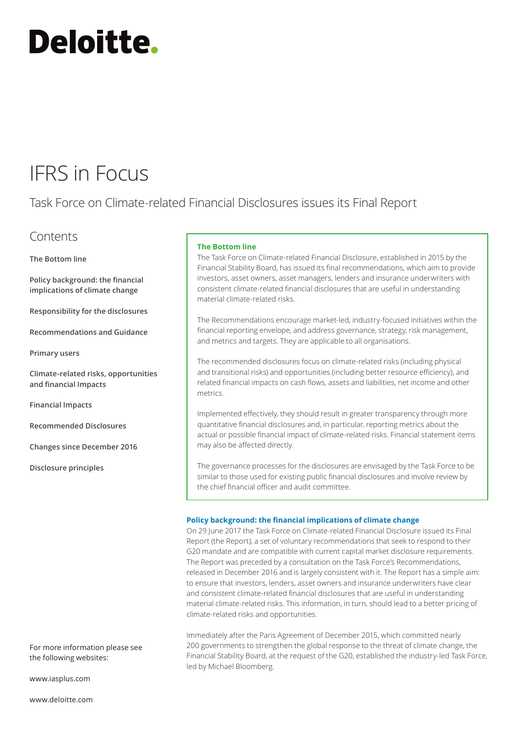# **Deloitte.**

### IFRS in Focus

Task Force on Climate‑related Financial Disclosures issues its Final Report

### Contents

**[The Bottom line](#page-0-0)**

**[Policy background: the financial](#page-0-1)  [implications of climate change](#page-0-1)**

**[Responsibility for the disclosures](#page-1-0)**

**[Recommendations and Guidance](#page-2-0)**

**[Primary users](#page-2-1)**

**[Climate‑related risks, opportunities](#page-3-0)  [and financial Impacts](#page-3-0)**

**[Financial Impacts](#page-3-1)**

**[Recommended Disclosures](#page-4-0)**

**[Changes since December 2016](#page-5-0)**

**[Disclosure principles](#page-5-1)**

For more information please see the following websites:

[www.iasplus.com](http://www.iasplus.com)

[www.deloitte.com](http://www.deloitte.com)

#### <span id="page-0-0"></span>**The Bottom line**

The Task Force on Climate‑related Financial Disclosure, established in 2015 by the Financial Stability Board, has issued its final recommendations, which aim to provide investors, asset owners, asset managers, lenders and insurance underwriters with consistent climate‑related financial disclosures that are useful in understanding material climate‑related risks.

The Recommendations encourage market‑led, industry‑focused initiatives within the financial reporting envelope, and address governance, strategy, risk management, and metrics and targets. They are applicable to all organisations.

The recommended disclosures focus on climate‑related risks (including physical and transitional risks) and opportunities (including better resource efficiency), and related financial impacts on cash flows, assets and liabilities, net income and other metrics.

Implemented effectively, they should result in greater transparency through more quantitative financial disclosures and, in particular, reporting metrics about the actual or possible financial impact of climate‑related risks. Financial statement items may also be affected directly.

The governance processes for the disclosures are envisaged by the Task Force to be similar to those used for existing public financial disclosures and involve review by the chief financial officer and audit committee.

#### <span id="page-0-1"></span>**Policy background: the financial implications of climate change**

On 29 June 2017 the Task Force on Climate‑related Financial Disclosure issued its Final Report (the Report), a set of voluntary recommendations that seek to respond to their G20 mandate and are compatible with current capital market disclosure requirements. The Report was preceded by a consultation on the Task Force's Recommendations, released in December 2016 and is largely consistent with it. The Report has a simple aim: to ensure that investors, lenders, asset owners and insurance underwriters have clear and consistent climate‑related financial disclosures that are useful in understanding material climate-related risks. This information, in turn, should lead to a better pricing of climate‑related risks and opportunities.

Immediately after the Paris Agreement of December 2015, which committed nearly 200 governments to strengthen the global response to the threat of climate change, the Financial Stability Board, at the request of the G20, established the industry‑led Task Force, led by Michael Bloomberg.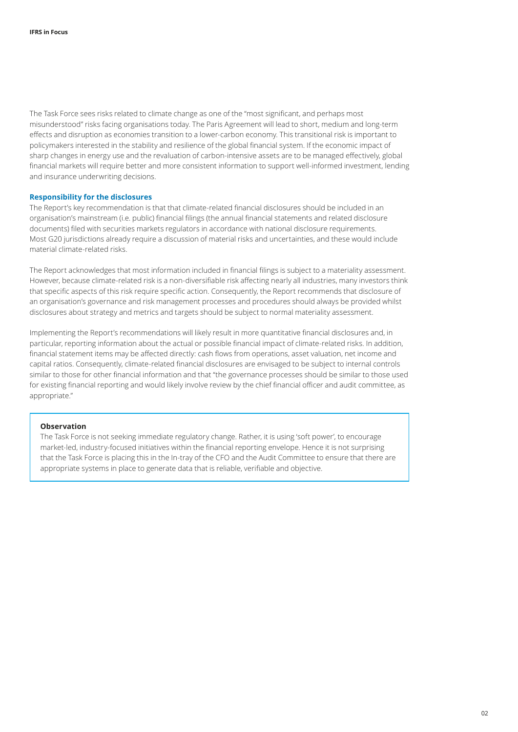The Task Force sees risks related to climate change as one of the "most significant, and perhaps most misunderstood" risks facing organisations today. The Paris Agreement will lead to short, medium and long‑term effects and disruption as economies transition to a lower‑carbon economy. This transitional risk is important to policymakers interested in the stability and resilience of the global financial system. If the economic impact of sharp changes in energy use and the revaluation of carbon-intensive assets are to be managed effectively, global financial markets will require better and more consistent information to support well-informed investment, lending and insurance underwriting decisions.

#### <span id="page-1-0"></span>**Responsibility for the disclosures**

The Report's key recommendation is that that climate‑related financial disclosures should be included in an organisation's mainstream (i.e. public) financial filings (the annual financial statements and related disclosure documents) filed with securities markets regulators in accordance with national disclosure requirements. Most G20 jurisdictions already require a discussion of material risks and uncertainties, and these would include material climate‑related risks.

The Report acknowledges that most information included in financial filings is subject to a materiality assessment. However, because climate-related risk is a non-diversifiable risk affecting nearly all industries, many investors think that specific aspects of this risk require specific action. Consequently, the Report recommends that disclosure of an organisation's governance and risk management processes and procedures should always be provided whilst disclosures about strategy and metrics and targets should be subject to normal materiality assessment.

Implementing the Report's recommendations will likely result in more quantitative financial disclosures and, in particular, reporting information about the actual or possible financial impact of climate-related risks. In addition, financial statement items may be affected directly: cash flows from operations, asset valuation, net income and capital ratios. Consequently, climate-related financial disclosures are envisaged to be subject to internal controls similar to those for other financial information and that "the governance processes should be similar to those used for existing financial reporting and would likely involve review by the chief financial officer and audit committee, as appropriate."

#### **Observation**

The Task Force is not seeking immediate regulatory change. Rather, it is using 'soft power', to encourage market‑led, industry‑focused initiatives within the financial reporting envelope. Hence it is not surprising that the Task Force is placing this in the In-tray of the CFO and the Audit Committee to ensure that there are appropriate systems in place to generate data that is reliable, verifiable and objective.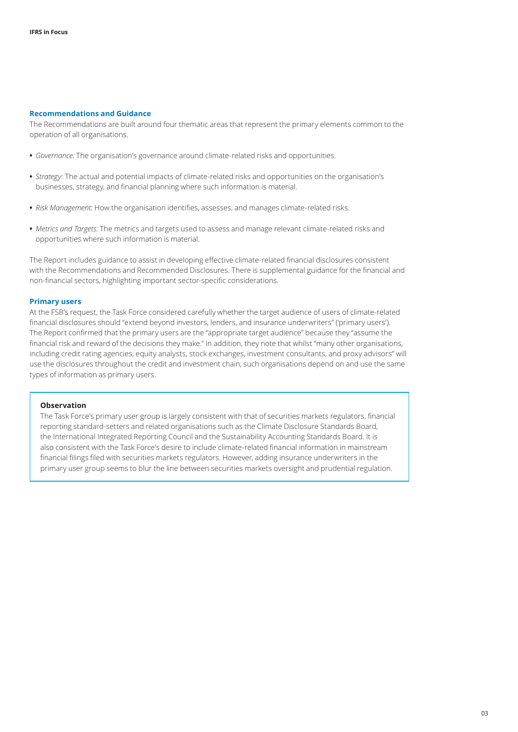#### <span id="page-2-0"></span>**Recommendations and Guidance**

The Recommendations are built around four thematic areas that represent the primary elements common to the operation of all organisations.

- **•** *Governance:* The organisation's governance around climate‑related risks and opportunities.
- **•** *Strategy:* The actual and potential impacts of climate‑related risks and opportunities on the organisation's businesses, strategy, and financial planning where such information is material.
- **•** *Risk Management:* How the organisation identifies, assesses, and manages climate‑related risks.
- **•** *Metrics and Targets:* The metrics and targets used to assess and manage relevant climate‑related risks and opportunities where such information is material.

The Report includes guidance to assist in developing effective climate‑related financial disclosures consistent with the Recommendations and Recommended Disclosures. There is supplemental guidance for the financial and non‑financial sectors, highlighting important sector‑specific considerations.

#### <span id="page-2-1"></span>**Primary users**

At the FSB's request, the Task Force considered carefully whether the target audience of users of climate-related financial disclosures should "extend beyond investors, lenders, and insurance underwriters" ('primary users'). The Report confirmed that the primary users are the "appropriate target audience" because they "assume the financial risk and reward of the decisions they make." In addition, they note that whilst "many other organisations, including credit rating agencies, equity analysts, stock exchanges, investment consultants, and proxy advisors" will use the disclosures throughout the credit and investment chain, such organisations depend on and use the same types of information as primary users.

#### **Observation**

The Task Force's primary user group is largely consistent with that of securities markets regulators, financial reporting standard-setters and related organisations such as the Climate Disclosure Standards Board, the International Integrated Reporting Council and the Sustainability Accounting Standards Board. It is also consistent with the Task Force's desire to include climate‑related financial information in mainstream financial filings filed with securities markets regulators. However, adding insurance underwriters in the primary user group seems to blur the line between securities markets oversight and prudential regulation.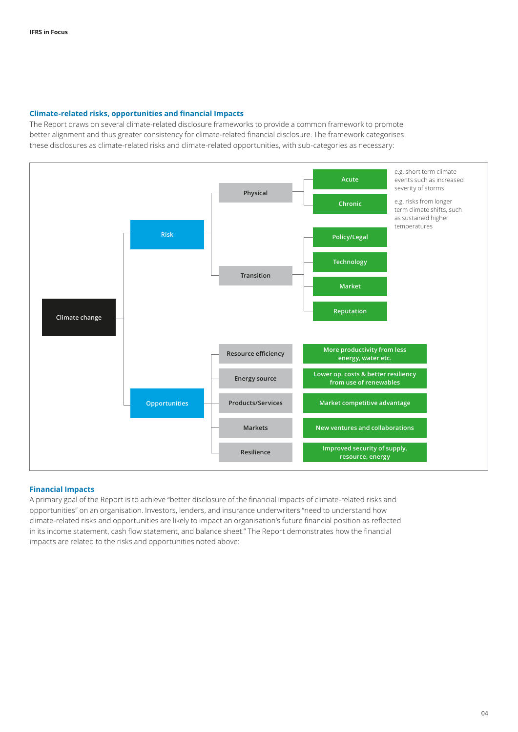#### <span id="page-3-0"></span>**Climate‑related risks, opportunities and financial Impacts**

The Report draws on several climate-related disclosure frameworks to provide a common framework to promote better alignment and thus greater consistency for climate-related financial disclosure. The framework categorises these disclosures as climate-related risks and climate-related opportunities, with sub-categories as necessary:



#### <span id="page-3-1"></span>**Financial Impacts**

A primary goal of the Report is to achieve "better disclosure of the financial impacts of climate‑related risks and opportunities" on an organisation. Investors, lenders, and insurance underwriters "need to understand how climate‑related risks and opportunities are likely to impact an organisation's future financial position as reflected in its income statement, cash flow statement, and balance sheet." The Report demonstrates how the financial impacts are related to the risks and opportunities noted above: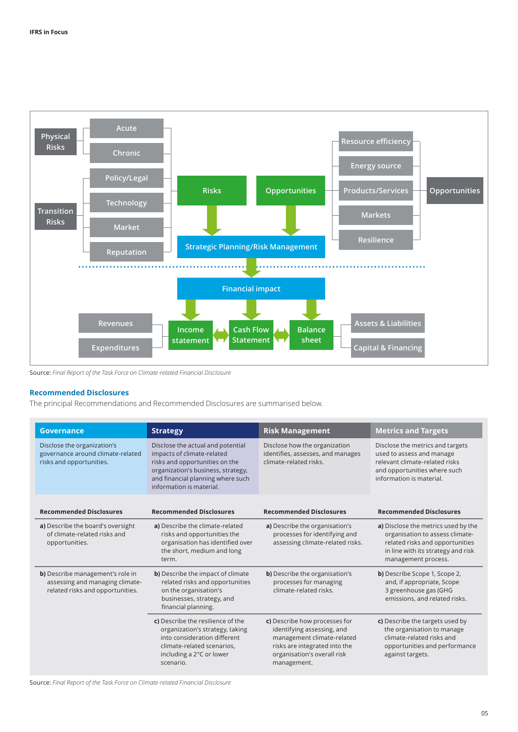

Source: *Final Report of the Task Force on Climate‑related Financial Disclosure*

#### <span id="page-4-0"></span>**Recommended Disclosures**

The principal Recommendations and Recommended Disclosures are summarised below.

| <b>Governance</b>                                                                                       | <b>Strategy</b>                                                                                                                                                                                          | <b>Risk Management</b>                                                                                                                                                   | <b>Metrics and Targets</b>                                                                                                                                             |
|---------------------------------------------------------------------------------------------------------|----------------------------------------------------------------------------------------------------------------------------------------------------------------------------------------------------------|--------------------------------------------------------------------------------------------------------------------------------------------------------------------------|------------------------------------------------------------------------------------------------------------------------------------------------------------------------|
| Disclose the organization's<br>governance around climate-related<br>risks and opportunities.            | Disclose the actual and potential<br>impacts of climate-related<br>risks and opportunities on the<br>organization's business, strategy,<br>and financial planning where such<br>information is material. | Disclose how the organization<br>identifies, assesses, and manages<br>climate-related risks.                                                                             | Disclose the metrics and targets<br>used to assess and manage<br>relevant climate-related risks<br>and opportunities where such<br>information is material.            |
| <b>Recommended Disclosures</b>                                                                          | <b>Recommended Disclosures</b>                                                                                                                                                                           | <b>Recommended Disclosures</b>                                                                                                                                           | <b>Recommended Disclosures</b>                                                                                                                                         |
| a) Describe the board's oversight<br>of climate-related risks and<br>opportunities.                     | a) Describe the climate-related<br>risks and opportunities the<br>organisation has identified over<br>the short, medium and long<br>term.                                                                | a) Describe the organisation's<br>processes for identifying and<br>assessing climate-related risks.                                                                      | a) Disclose the metrics used by the<br>organisation to assess climate-<br>related risks and opportunities<br>in line with its strategy and risk<br>management process. |
| b) Describe management's role in<br>assessing and managing climate-<br>related risks and opportunities. | b) Describe the impact of climate<br>related risks and opportunities<br>on the organisation's<br>businesses, strategy, and<br>financial planning.                                                        | <b>b)</b> Describe the organisation's<br>processes for managing<br>climate-related risks.                                                                                | b) Describe Scope 1, Scope 2,<br>and, if appropriate, Scope<br>3 greenhouse gas (GHG<br>emissions, and related risks.                                                  |
|                                                                                                         | c) Describe the resilience of the<br>organization's strategy, taking<br>into consideration different<br>climate-related scenarios,<br>including a 2°C or lower<br>scenario.                              | c) Describe how processes for<br>identifying assessing, and<br>management climate-related<br>risks are integrated into the<br>organisation's overall risk<br>management. | c) Describe the targets used by<br>the organisation to manage<br>climate-related risks and<br>opportunities and performance<br>against targets.                        |

Source: *Final Report of the Task Force on Climate‑related Financial Disclosure*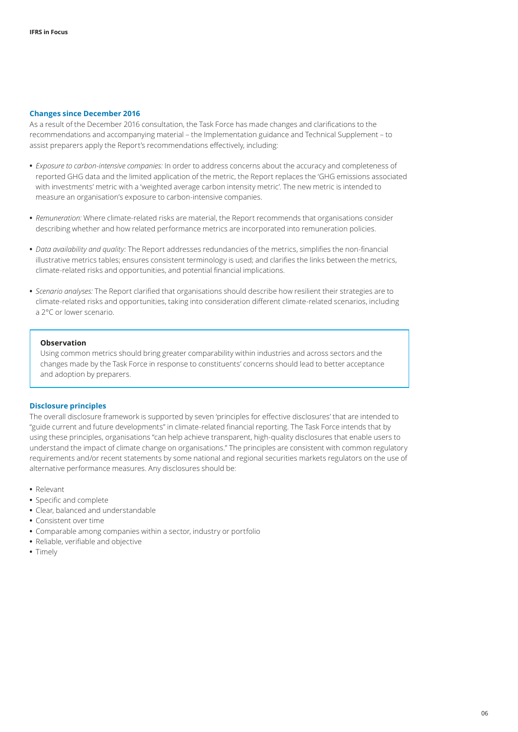#### <span id="page-5-0"></span>**Changes since December 2016**

As a result of the December 2016 consultation, the Task Force has made changes and clarifications to the recommendations and accompanying material – the Implementation guidance and Technical Supplement – to assist preparers apply the Report's recommendations effectively, including:

- **•** *Exposure to carbon-intensive companies:* In order to address concerns about the accuracy and completeness of reported GHG data and the limited application of the metric, the Report replaces the 'GHG emissions associated with investments' metric with a 'weighted average carbon intensity metric'. The new metric is intended to measure an organisation's exposure to carbon‑intensive companies.
- Remuneration: Where climate-related risks are material, the Report recommends that organisations consider describing whether and how related performance metrics are incorporated into remuneration policies.
- **•** *Data availability and quality:* The Report addresses redundancies of the metrics, simplifies the non‑financial illustrative metrics tables; ensures consistent terminology is used; and clarifies the links between the metrics, climate‑related risks and opportunities, and potential financial implications.
- **•** *Scenario analyses:* The Report clarified that organisations should describe how resilient their strategies are to climate‑related risks and opportunities, taking into consideration different climate‑related scenarios, including a 2°C or lower scenario.

#### **Observation**

Using common metrics should bring greater comparability within industries and across sectors and the changes made by the Task Force in response to constituents' concerns should lead to better acceptance and adoption by preparers.

#### <span id="page-5-1"></span>**Disclosure principles**

The overall disclosure framework is supported by seven 'principles for effective disclosures' that are intended to "guide current and future developments" in climate‑related financial reporting. The Task Force intends that by using these principles, organisations "can help achieve transparent, high-quality disclosures that enable users to understand the impact of climate change on organisations." The principles are consistent with common regulatory requirements and/or recent statements by some national and regional securities markets regulators on the use of alternative performance measures. Any disclosures should be:

- **•** Relevant
- **•** Specific and complete
- **•** Clear, balanced and understandable
- **•** Consistent over time
- **•** Comparable among companies within a sector, industry or portfolio
- **•** Reliable, verifiable and objective
- **•** Timely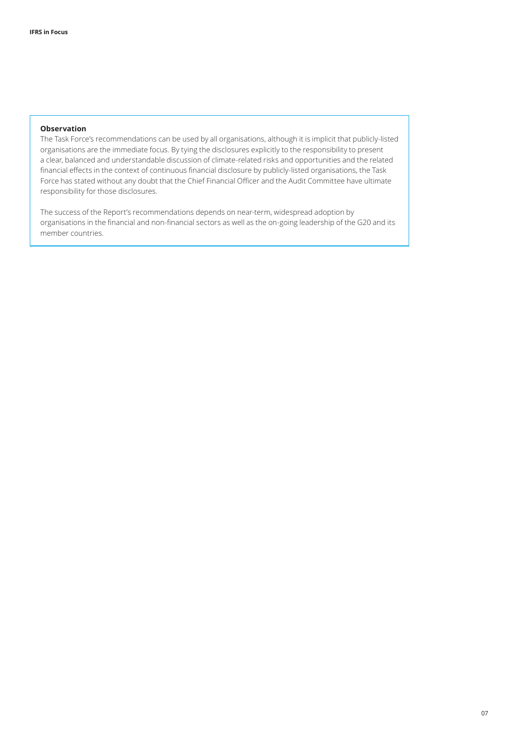#### **Observation**

The Task Force's recommendations can be used by all organisations, although it is implicit that publicly-listed organisations are the immediate focus. By tying the disclosures explicitly to the responsibility to present a clear, balanced and understandable discussion of climate‑related risks and opportunities and the related financial effects in the context of continuous financial disclosure by publicly‑listed organisations, the Task Force has stated without any doubt that the Chief Financial Officer and the Audit Committee have ultimate responsibility for those disclosures.

The success of the Report's recommendations depends on near-term, widespread adoption by organisations in the financial and non‑financial sectors as well as the on‑going leadership of the G20 and its member countries.